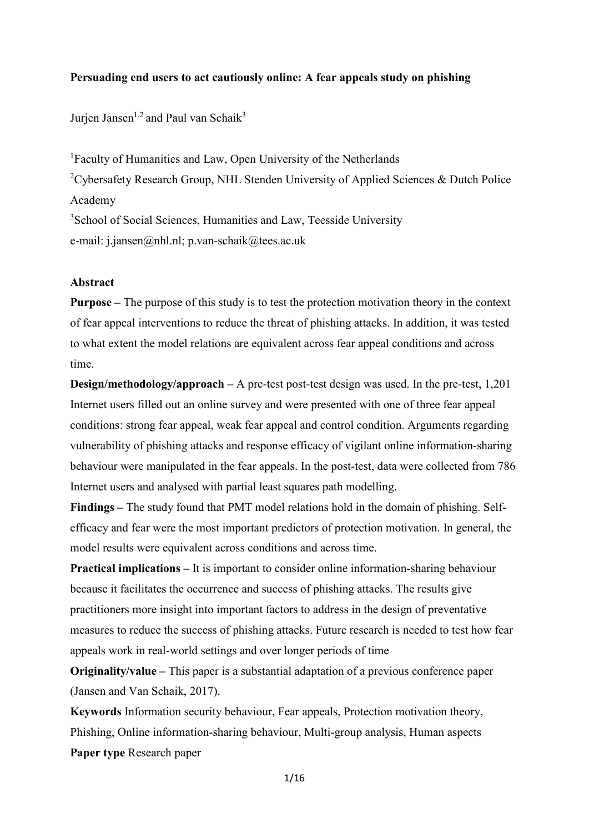### **Persuading end users to act cautiously online: A fear appeals study on phishing**

Jurien Jansen<sup>1,2</sup> and Paul van Schaik<sup>3</sup>

1 Faculty of Humanities and Law, Open University of the Netherlands <sup>2</sup>Cybersafety Research Group, NHL Stenden University of Applied Sciences & Dutch Police Academy <sup>3</sup>School of Social Sciences, Humanities and Law, Teesside University e-mail: j.jansen@nhl.nl; p.van-schaik@tees.ac.uk

### **Abstract**

**Purpose –** The purpose of this study is to test the protection motivation theory in the context of fear appeal interventions to reduce the threat of phishing attacks. In addition, it was tested to what extent the model relations are equivalent across fear appeal conditions and across time.

**Design/methodology/approach –** A pre-test post-test design was used. In the pre-test, 1,201 Internet users filled out an online survey and were presented with one of three fear appeal conditions: strong fear appeal, weak fear appeal and control condition. Arguments regarding vulnerability of phishing attacks and response efficacy of vigilant online information-sharing behaviour were manipulated in the fear appeals. In the post-test, data were collected from 786 Internet users and analysed with partial least squares path modelling.

**Findings –** The study found that PMT model relations hold in the domain of phishing. Selfefficacy and fear were the most important predictors of protection motivation. In general, the model results were equivalent across conditions and across time.

**Practical implications –** It is important to consider online information-sharing behaviour because it facilitates the occurrence and success of phishing attacks. The results give practitioners more insight into important factors to address in the design of preventative measures to reduce the success of phishing attacks. Future research is needed to test how fear appeals work in real-world settings and over longer periods of time

**Originality/value –** This paper is a substantial adaptation of a previous conference paper (Jansen and Van Schaik, 2017).

**Keywords** Information security behaviour, Fear appeals, Protection motivation theory, Phishing, Online information-sharing behaviour, Multi-group analysis, Human aspects **Paper type** Research paper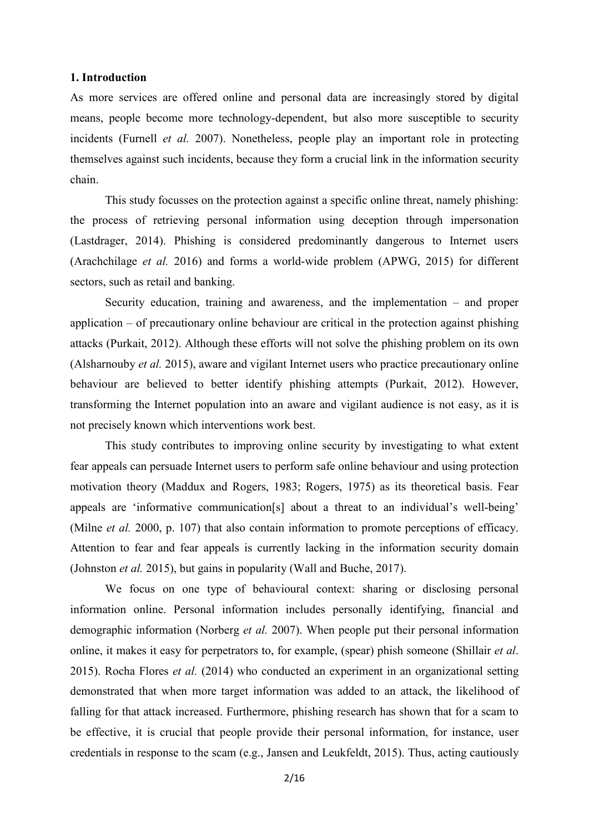#### **1. Introduction**

As more services are offered online and personal data are increasingly stored by digital means, people become more technology-dependent, but also more susceptible to security incidents (Furnell *et al.* 2007). Nonetheless, people play an important role in protecting themselves against such incidents, because they form a crucial link in the information security chain.

This study focusses on the protection against a specific online threat, namely phishing: the process of retrieving personal information using deception through impersonation (Lastdrager, 2014). Phishing is considered predominantly dangerous to Internet users (Arachchilage *et al.* 2016) and forms a world-wide problem (APWG, 2015) for different sectors, such as retail and banking.

Security education, training and awareness, and the implementation – and proper application – of precautionary online behaviour are critical in the protection against phishing attacks (Purkait, 2012). Although these efforts will not solve the phishing problem on its own (Alsharnouby *et al.* 2015), aware and vigilant Internet users who practice precautionary online behaviour are believed to better identify phishing attempts (Purkait, 2012). However, transforming the Internet population into an aware and vigilant audience is not easy, as it is not precisely known which interventions work best.

This study contributes to improving online security by investigating to what extent fear appeals can persuade Internet users to perform safe online behaviour and using protection motivation theory (Maddux and Rogers, 1983; Rogers, 1975) as its theoretical basis. Fear appeals are 'informative communication[s] about a threat to an individual's well-being' (Milne *et al.* 2000, p. 107) that also contain information to promote perceptions of efficacy. Attention to fear and fear appeals is currently lacking in the information security domain (Johnston *et al.* 2015), but gains in popularity (Wall and Buche, 2017).

We focus on one type of behavioural context: sharing or disclosing personal information online. Personal information includes personally identifying, financial and demographic information (Norberg *et al.* 2007). When people put their personal information online, it makes it easy for perpetrators to, for example, (spear) phish someone (Shillair *et al*. 2015). Rocha Flores *et al.* (2014) who conducted an experiment in an organizational setting demonstrated that when more target information was added to an attack, the likelihood of falling for that attack increased. Furthermore, phishing research has shown that for a scam to be effective, it is crucial that people provide their personal information, for instance, user credentials in response to the scam (e.g., Jansen and Leukfeldt, 2015). Thus, acting cautiously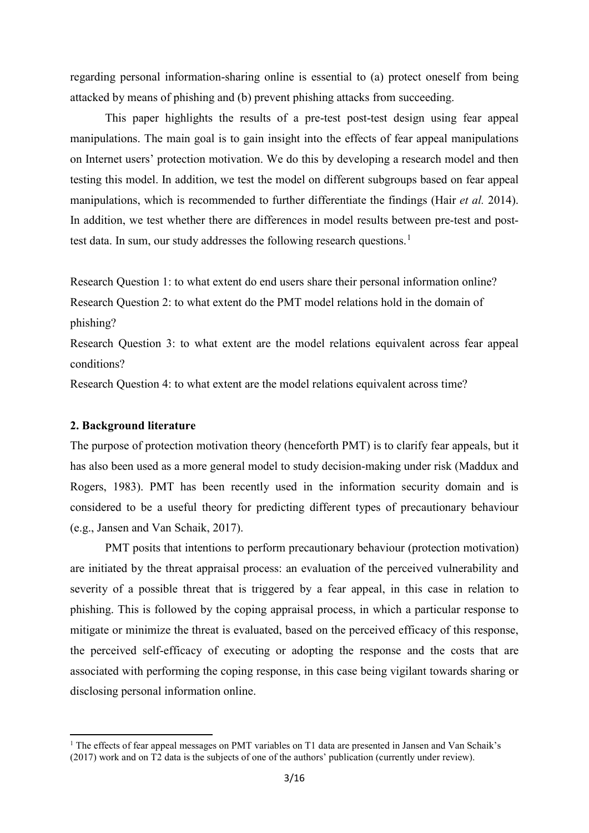regarding personal information-sharing online is essential to (a) protect oneself from being attacked by means of phishing and (b) prevent phishing attacks from succeeding.

This paper highlights the results of a pre-test post-test design using fear appeal manipulations. The main goal is to gain insight into the effects of fear appeal manipulations on Internet users' protection motivation. We do this by developing a research model and then testing this model. In addition, we test the model on different subgroups based on fear appeal manipulations, which is recommended to further differentiate the findings (Hair *et al.* 2014). In addition, we test whether there are differences in model results between pre-test and post-test data. In sum, our study addresses the following research questions.<sup>[1](#page-2-0)</sup>

Research Question 1: to what extent do end users share their personal information online? Research Question 2: to what extent do the PMT model relations hold in the domain of

phishing?

 $\overline{a}$ 

Research Question 3: to what extent are the model relations equivalent across fear appeal conditions?

Research Question 4: to what extent are the model relations equivalent across time?

#### **2. Background literature**

The purpose of protection motivation theory (henceforth PMT) is to clarify fear appeals, but it has also been used as a more general model to study decision-making under risk (Maddux and Rogers, 1983). PMT has been recently used in the information security domain and is considered to be a useful theory for predicting different types of precautionary behaviour (e.g., Jansen and Van Schaik, 2017).

PMT posits that intentions to perform precautionary behaviour (protection motivation) are initiated by the threat appraisal process: an evaluation of the perceived vulnerability and severity of a possible threat that is triggered by a fear appeal, in this case in relation to phishing. This is followed by the coping appraisal process, in which a particular response to mitigate or minimize the threat is evaluated, based on the perceived efficacy of this response, the perceived self-efficacy of executing or adopting the response and the costs that are associated with performing the coping response, in this case being vigilant towards sharing or disclosing personal information online.

<span id="page-2-0"></span><sup>&</sup>lt;sup>1</sup> The effects of fear appeal messages on PMT variables on T1 data are presented in Jansen and Van Schaik's (2017) work and on T2 data is the subjects of one of the authors' publication (currently under review).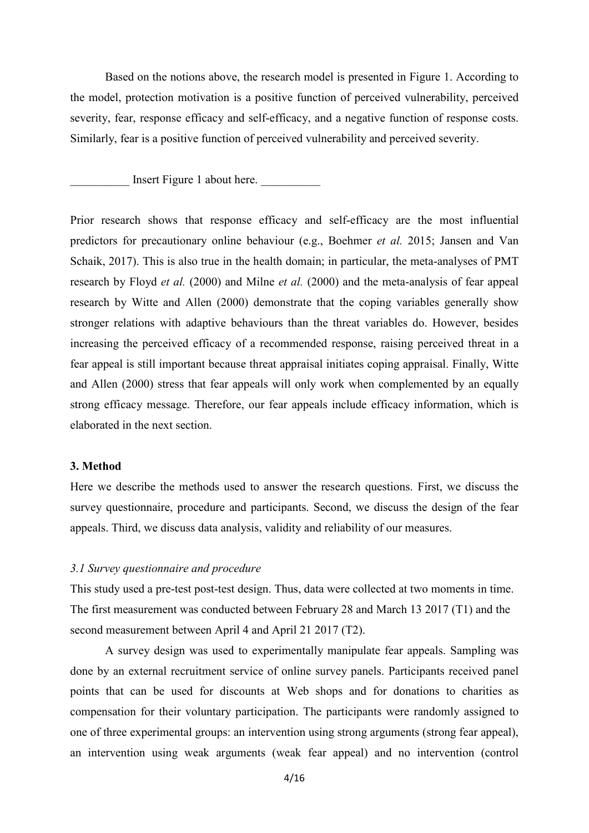Based on the notions above, the research model is presented in Figure 1. According to the model, protection motivation is a positive function of perceived vulnerability, perceived severity, fear, response efficacy and self-efficacy, and a negative function of response costs. Similarly, fear is a positive function of perceived vulnerability and perceived severity.

Insert Figure 1 about here.

Prior research shows that response efficacy and self-efficacy are the most influential predictors for precautionary online behaviour (e.g., Boehmer *et al.* 2015; Jansen and Van Schaik, 2017). This is also true in the health domain; in particular, the meta-analyses of PMT research by Floyd *et al.* (2000) and Milne *et al.* (2000) and the meta-analysis of fear appeal research by Witte and Allen (2000) demonstrate that the coping variables generally show stronger relations with adaptive behaviours than the threat variables do. However, besides increasing the perceived efficacy of a recommended response, raising perceived threat in a fear appeal is still important because threat appraisal initiates coping appraisal. Finally, Witte and Allen (2000) stress that fear appeals will only work when complemented by an equally strong efficacy message. Therefore, our fear appeals include efficacy information, which is elaborated in the next section.

### **3. Method**

Here we describe the methods used to answer the research questions. First, we discuss the survey questionnaire, procedure and participants. Second, we discuss the design of the fear appeals. Third, we discuss data analysis, validity and reliability of our measures.

### *3.1 Survey questionnaire and procedure*

This study used a pre-test post-test design. Thus, data were collected at two moments in time. The first measurement was conducted between February 28 and March 13 2017 (T1) and the second measurement between April 4 and April 21 2017 (T2).

A survey design was used to experimentally manipulate fear appeals. Sampling was done by an external recruitment service of online survey panels. Participants received panel points that can be used for discounts at Web shops and for donations to charities as compensation for their voluntary participation. The participants were randomly assigned to one of three experimental groups: an intervention using strong arguments (strong fear appeal), an intervention using weak arguments (weak fear appeal) and no intervention (control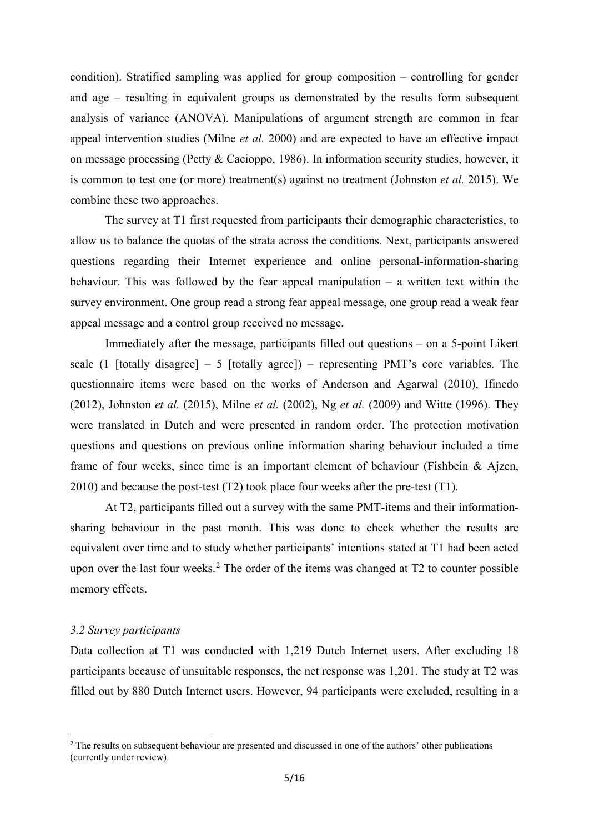condition). Stratified sampling was applied for group composition – controlling for gender and age – resulting in equivalent groups as demonstrated by the results form subsequent analysis of variance (ANOVA). Manipulations of argument strength are common in fear appeal intervention studies (Milne *et al.* 2000) and are expected to have an effective impact on message processing (Petty & Cacioppo, 1986). In information security studies, however, it is common to test one (or more) treatment(s) against no treatment (Johnston *et al.* 2015). We combine these two approaches.

The survey at T1 first requested from participants their demographic characteristics, to allow us to balance the quotas of the strata across the conditions. Next, participants answered questions regarding their Internet experience and online personal-information-sharing behaviour. This was followed by the fear appeal manipulation  $-$  a written text within the survey environment. One group read a strong fear appeal message, one group read a weak fear appeal message and a control group received no message.

Immediately after the message, participants filled out questions – on a 5-point Likert scale (1 [totally disagree] – 5 [totally agree]) – representing PMT's core variables. The questionnaire items were based on the works of Anderson and Agarwal (2010), Ifinedo (2012), Johnston *et al.* (2015), Milne *et al.* (2002), Ng *et al.* (2009) and Witte (1996). They were translated in Dutch and were presented in random order. The protection motivation questions and questions on previous online information sharing behaviour included a time frame of four weeks, since time is an important element of behaviour (Fishbein & Ajzen, 2010) and because the post-test (T2) took place four weeks after the pre-test (T1).

At T2, participants filled out a survey with the same PMT-items and their informationsharing behaviour in the past month. This was done to check whether the results are equivalent over time and to study whether participants' intentions stated at T1 had been acted upon over the last four weeks.<sup>[2](#page-4-0)</sup> The order of the items was changed at  $T2$  to counter possible memory effects.

### *3.2 Survey participants*

 $\overline{a}$ 

Data collection at T1 was conducted with 1,219 Dutch Internet users. After excluding 18 participants because of unsuitable responses, the net response was 1,201. The study at T2 was filled out by 880 Dutch Internet users. However, 94 participants were excluded, resulting in a

<span id="page-4-0"></span><sup>&</sup>lt;sup>2</sup> The results on subsequent behaviour are presented and discussed in one of the authors' other publications (currently under review).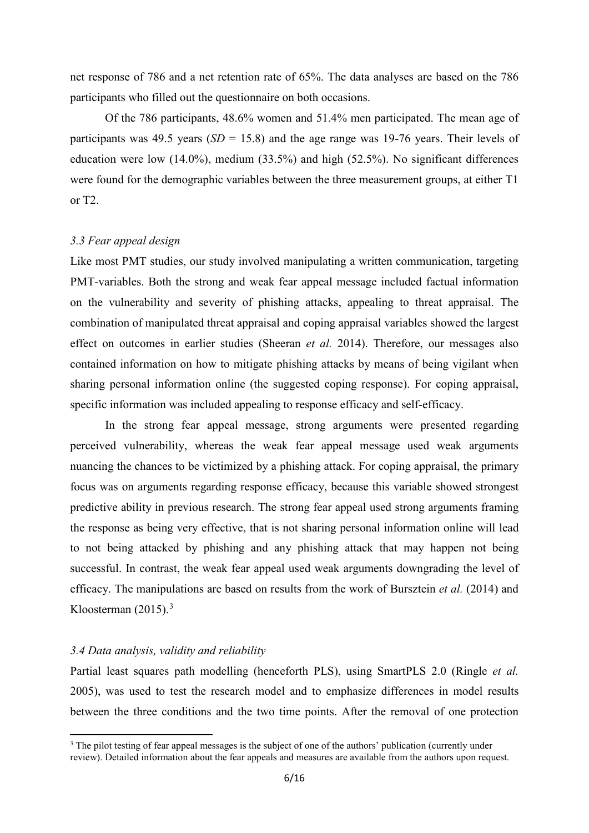net response of 786 and a net retention rate of 65%. The data analyses are based on the 786 participants who filled out the questionnaire on both occasions.

Of the 786 participants, 48.6% women and 51.4% men participated. The mean age of participants was 49.5 years (*SD* = 15.8) and the age range was 19-76 years. Their levels of education were low (14.0%), medium (33.5%) and high (52.5%). No significant differences were found for the demographic variables between the three measurement groups, at either T1 or T2.

#### *3.3 Fear appeal design*

Like most PMT studies, our study involved manipulating a written communication, targeting PMT-variables. Both the strong and weak fear appeal message included factual information on the vulnerability and severity of phishing attacks, appealing to threat appraisal. The combination of manipulated threat appraisal and coping appraisal variables showed the largest effect on outcomes in earlier studies (Sheeran *et al.* 2014). Therefore, our messages also contained information on how to mitigate phishing attacks by means of being vigilant when sharing personal information online (the suggested coping response). For coping appraisal, specific information was included appealing to response efficacy and self-efficacy.

In the strong fear appeal message, strong arguments were presented regarding perceived vulnerability, whereas the weak fear appeal message used weak arguments nuancing the chances to be victimized by a phishing attack. For coping appraisal, the primary focus was on arguments regarding response efficacy, because this variable showed strongest predictive ability in previous research. The strong fear appeal used strong arguments framing the response as being very effective, that is not sharing personal information online will lead to not being attacked by phishing and any phishing attack that may happen not being successful. In contrast, the weak fear appeal used weak arguments downgrading the level of efficacy. The manipulations are based on results from the work of Bursztein *et al.* (2014) and Kloosterman  $(2015).$ <sup>[3](#page-5-0)</sup>

### *3.4 Data analysis, validity and reliability*

 $\overline{a}$ 

Partial least squares path modelling (henceforth PLS), using SmartPLS 2.0 (Ringle *et al.*  2005), was used to test the research model and to emphasize differences in model results between the three conditions and the two time points. After the removal of one protection

<span id="page-5-0"></span><sup>&</sup>lt;sup>3</sup> The pilot testing of fear appeal messages is the subject of one of the authors' publication (currently under review). Detailed information about the fear appeals and measures are available from the authors upon request.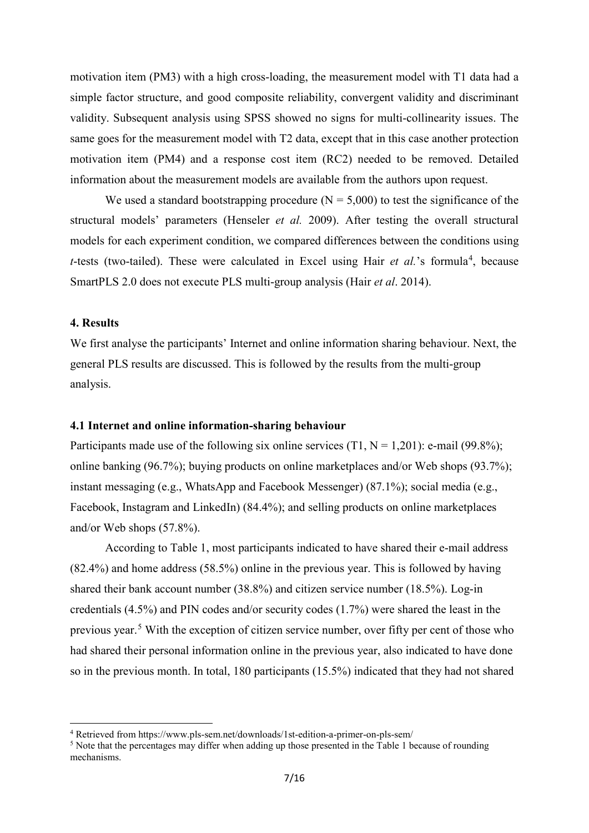motivation item (PM3) with a high cross-loading, the measurement model with T1 data had a simple factor structure, and good composite reliability, convergent validity and discriminant validity. Subsequent analysis using SPSS showed no signs for multi-collinearity issues. The same goes for the measurement model with T2 data, except that in this case another protection motivation item (PM4) and a response cost item (RC2) needed to be removed. Detailed information about the measurement models are available from the authors upon request.

We used a standard bootstrapping procedure  $(N = 5,000)$  to test the significance of the structural models' parameters (Henseler *et al.* 2009). After testing the overall structural models for each experiment condition, we compared differences between the conditions using *t*-tests (two-tailed). These were calculated in Excel using Hair *et al.*'s formula<sup>[4](#page-6-0)</sup>, because SmartPLS 2.0 does not execute PLS multi-group analysis (Hair *et al*. 2014).

# **4. Results**

<u>.</u>

We first analyse the participants' Internet and online information sharing behaviour. Next, the general PLS results are discussed. This is followed by the results from the multi-group analysis.

#### **4.1 Internet and online information-sharing behaviour**

Participants made use of the following six online services  $(T1, N = 1,201)$ : e-mail (99.8%); online banking (96.7%); buying products on online marketplaces and/or Web shops (93.7%); instant messaging (e.g., WhatsApp and Facebook Messenger) (87.1%); social media (e.g., Facebook, Instagram and LinkedIn) (84.4%); and selling products on online marketplaces and/or Web shops (57.8%).

According to Table 1, most participants indicated to have shared their e-mail address (82.4%) and home address (58.5%) online in the previous year. This is followed by having shared their bank account number (38.8%) and citizen service number (18.5%). Log-in credentials (4.5%) and PIN codes and/or security codes (1.7%) were shared the least in the previous year.<sup>[5](#page-6-1)</sup> With the exception of citizen service number, over fifty per cent of those who had shared their personal information online in the previous year, also indicated to have done so in the previous month. In total, 180 participants (15.5%) indicated that they had not shared

<span id="page-6-0"></span><sup>4</sup> Retrieved from https://www.pls-sem.net/downloads/1st-edition-a-primer-on-pls-sem/

<span id="page-6-1"></span><sup>&</sup>lt;sup>5</sup> Note that the percentages may differ when adding up those presented in the Table 1 because of rounding mechanisms.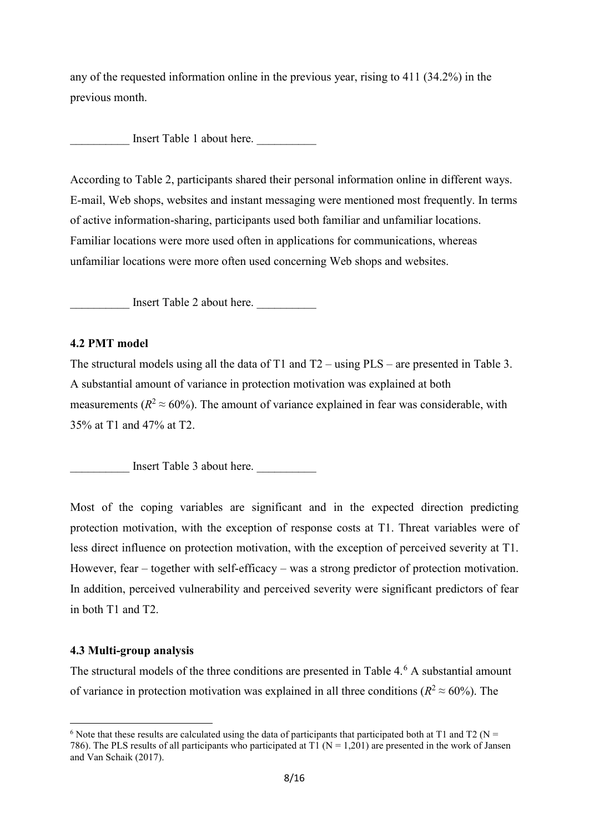any of the requested information online in the previous year, rising to 411 (34.2%) in the previous month.

Insert Table 1 about here.

According to Table 2, participants shared their personal information online in different ways. E-mail, Web shops, websites and instant messaging were mentioned most frequently. In terms of active information-sharing, participants used both familiar and unfamiliar locations. Familiar locations were more used often in applications for communications, whereas unfamiliar locations were more often used concerning Web shops and websites.

Insert Table 2 about here.

### **4.2 PMT model**

The structural models using all the data of T1 and T2 – using PLS – are presented in Table 3. A substantial amount of variance in protection motivation was explained at both measurements ( $R^2 \approx 60\%$ ). The amount of variance explained in fear was considerable, with 35% at T1 and 47% at T2.

Insert Table 3 about here.

Most of the coping variables are significant and in the expected direction predicting protection motivation, with the exception of response costs at T1. Threat variables were of less direct influence on protection motivation, with the exception of perceived severity at T1. However, fear – together with self-efficacy – was a strong predictor of protection motivation. In addition, perceived vulnerability and perceived severity were significant predictors of fear in both T1 and T2.

### **4.3 Multi-group analysis**

<u>.</u>

The structural models of the three conditions are presented in Table  $4.6$  $4.6$  A substantial amount of variance in protection motivation was explained in all three conditions ( $R^2 \approx 60\%$ ). The

<span id="page-7-0"></span><sup>&</sup>lt;sup>6</sup> Note that these results are calculated using the data of participants that participated both at T1 and T2 (N = 786). The PLS results of all participants who participated at T1 ( $N = 1,201$ ) are presented in the work of Jansen and Van Schaik (2017).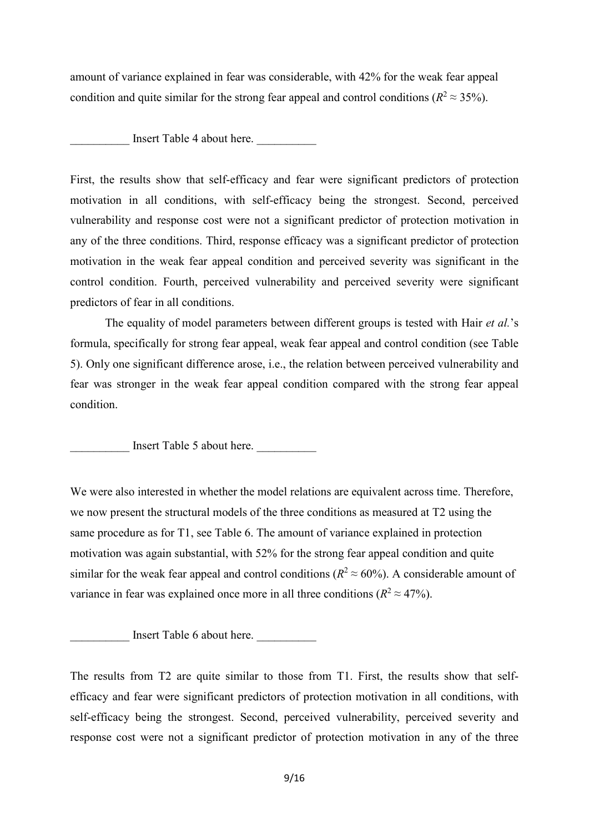amount of variance explained in fear was considerable, with 42% for the weak fear appeal condition and quite similar for the strong fear appeal and control conditions ( $R^2 \approx 35\%$ ).

Insert Table 4 about here.

First, the results show that self-efficacy and fear were significant predictors of protection motivation in all conditions, with self-efficacy being the strongest. Second, perceived vulnerability and response cost were not a significant predictor of protection motivation in any of the three conditions. Third, response efficacy was a significant predictor of protection motivation in the weak fear appeal condition and perceived severity was significant in the control condition. Fourth, perceived vulnerability and perceived severity were significant predictors of fear in all conditions.

 The equality of model parameters between different groups is tested with Hair *et al.*'s formula, specifically for strong fear appeal, weak fear appeal and control condition (see Table 5). Only one significant difference arose, i.e., the relation between perceived vulnerability and fear was stronger in the weak fear appeal condition compared with the strong fear appeal condition.

Insert Table 5 about here.

We were also interested in whether the model relations are equivalent across time. Therefore, we now present the structural models of the three conditions as measured at T2 using the same procedure as for T1, see Table 6. The amount of variance explained in protection motivation was again substantial, with 52% for the strong fear appeal condition and quite similar for the weak fear appeal and control conditions ( $R^2 \approx 60\%$ ). A considerable amount of variance in fear was explained once more in all three conditions  $(R^2 \approx 47\%)$ .

Insert Table 6 about here.

The results from T2 are quite similar to those from T1. First, the results show that selfefficacy and fear were significant predictors of protection motivation in all conditions, with self-efficacy being the strongest. Second, perceived vulnerability, perceived severity and response cost were not a significant predictor of protection motivation in any of the three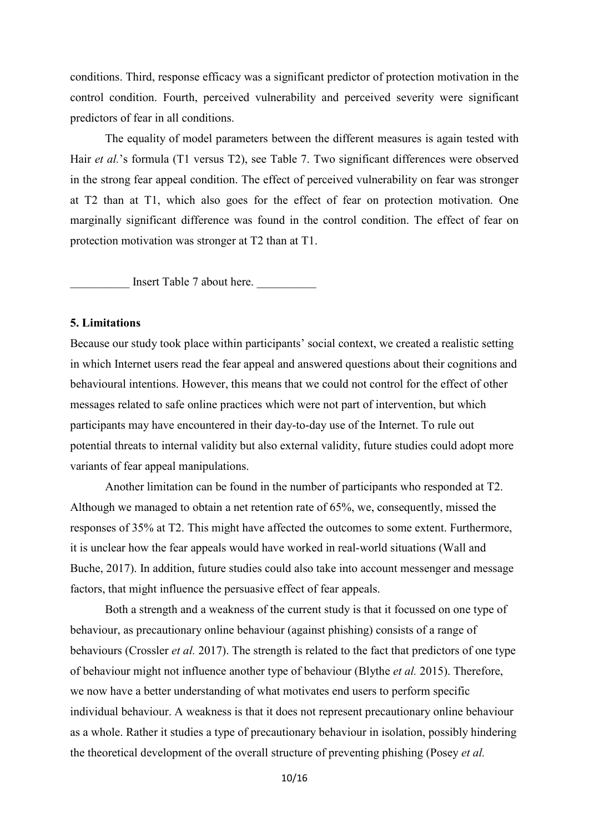conditions. Third, response efficacy was a significant predictor of protection motivation in the control condition. Fourth, perceived vulnerability and perceived severity were significant predictors of fear in all conditions.

The equality of model parameters between the different measures is again tested with Hair *et al.*'s formula (T1 versus T2), see Table 7. Two significant differences were observed in the strong fear appeal condition. The effect of perceived vulnerability on fear was stronger at T2 than at T1, which also goes for the effect of fear on protection motivation. One marginally significant difference was found in the control condition. The effect of fear on protection motivation was stronger at T2 than at T1.

Insert Table 7 about here.

# **5. Limitations**

Because our study took place within participants' social context, we created a realistic setting in which Internet users read the fear appeal and answered questions about their cognitions and behavioural intentions. However, this means that we could not control for the effect of other messages related to safe online practices which were not part of intervention, but which participants may have encountered in their day-to-day use of the Internet. To rule out potential threats to internal validity but also external validity, future studies could adopt more variants of fear appeal manipulations.

 Another limitation can be found in the number of participants who responded at T2. Although we managed to obtain a net retention rate of 65%, we, consequently, missed the responses of 35% at T2. This might have affected the outcomes to some extent. Furthermore, it is unclear how the fear appeals would have worked in real-world situations (Wall and Buche, 2017). In addition, future studies could also take into account messenger and message factors, that might influence the persuasive effect of fear appeals.

Both a strength and a weakness of the current study is that it focussed on one type of behaviour, as precautionary online behaviour (against phishing) consists of a range of behaviours (Crossler *et al.* 2017). The strength is related to the fact that predictors of one type of behaviour might not influence another type of behaviour (Blythe *et al.* 2015). Therefore, we now have a better understanding of what motivates end users to perform specific individual behaviour. A weakness is that it does not represent precautionary online behaviour as a whole. Rather it studies a type of precautionary behaviour in isolation, possibly hindering the theoretical development of the overall structure of preventing phishing (Posey *et al.*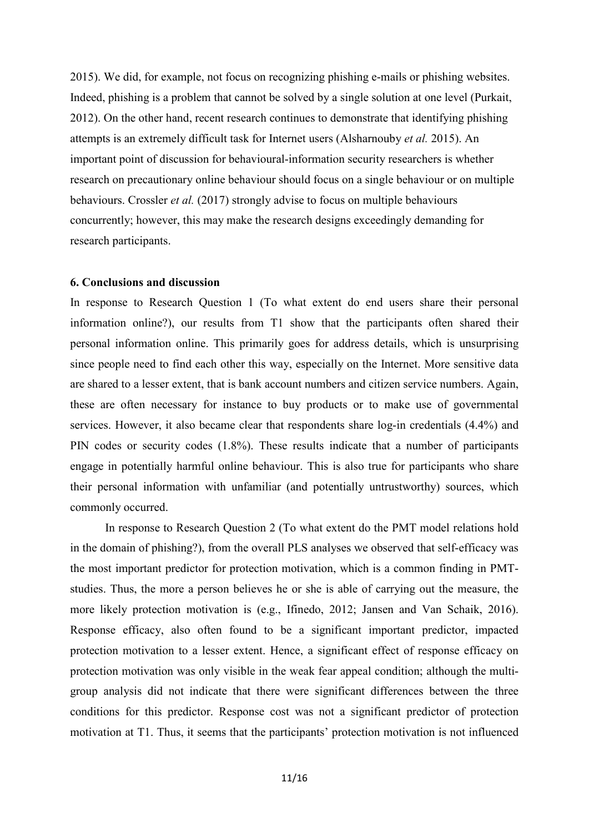2015). We did, for example, not focus on recognizing phishing e-mails or phishing websites. Indeed, phishing is a problem that cannot be solved by a single solution at one level (Purkait, 2012). On the other hand, recent research continues to demonstrate that identifying phishing attempts is an extremely difficult task for Internet users (Alsharnouby *et al.* 2015). An important point of discussion for behavioural-information security researchers is whether research on precautionary online behaviour should focus on a single behaviour or on multiple behaviours. Crossler *et al.* (2017) strongly advise to focus on multiple behaviours concurrently; however, this may make the research designs exceedingly demanding for research participants.

### **6. Conclusions and discussion**

In response to Research Question 1 (To what extent do end users share their personal information online?), our results from T1 show that the participants often shared their personal information online. This primarily goes for address details, which is unsurprising since people need to find each other this way, especially on the Internet. More sensitive data are shared to a lesser extent, that is bank account numbers and citizen service numbers. Again, these are often necessary for instance to buy products or to make use of governmental services. However, it also became clear that respondents share log-in credentials (4.4%) and PIN codes or security codes (1.8%). These results indicate that a number of participants engage in potentially harmful online behaviour. This is also true for participants who share their personal information with unfamiliar (and potentially untrustworthy) sources, which commonly occurred.

In response to Research Question 2 (To what extent do the PMT model relations hold in the domain of phishing?), from the overall PLS analyses we observed that self-efficacy was the most important predictor for protection motivation, which is a common finding in PMTstudies. Thus, the more a person believes he or she is able of carrying out the measure, the more likely protection motivation is (e.g., Ifinedo, 2012; Jansen and Van Schaik, 2016). Response efficacy, also often found to be a significant important predictor, impacted protection motivation to a lesser extent. Hence, a significant effect of response efficacy on protection motivation was only visible in the weak fear appeal condition; although the multigroup analysis did not indicate that there were significant differences between the three conditions for this predictor. Response cost was not a significant predictor of protection motivation at T1. Thus, it seems that the participants' protection motivation is not influenced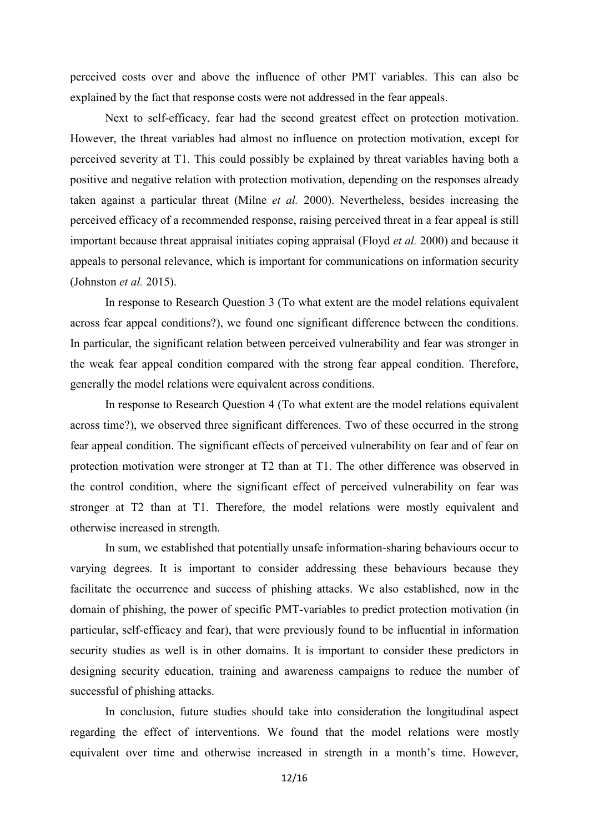perceived costs over and above the influence of other PMT variables. This can also be explained by the fact that response costs were not addressed in the fear appeals.

Next to self-efficacy, fear had the second greatest effect on protection motivation. However, the threat variables had almost no influence on protection motivation, except for perceived severity at T1. This could possibly be explained by threat variables having both a positive and negative relation with protection motivation, depending on the responses already taken against a particular threat (Milne *et al.* 2000). Nevertheless, besides increasing the perceived efficacy of a recommended response, raising perceived threat in a fear appeal is still important because threat appraisal initiates coping appraisal (Floyd *et al.* 2000) and because it appeals to personal relevance, which is important for communications on information security (Johnston *et al.* 2015).

In response to Research Question 3 (To what extent are the model relations equivalent across fear appeal conditions?), we found one significant difference between the conditions. In particular, the significant relation between perceived vulnerability and fear was stronger in the weak fear appeal condition compared with the strong fear appeal condition. Therefore, generally the model relations were equivalent across conditions.

In response to Research Question 4 (To what extent are the model relations equivalent across time?), we observed three significant differences. Two of these occurred in the strong fear appeal condition. The significant effects of perceived vulnerability on fear and of fear on protection motivation were stronger at T2 than at T1. The other difference was observed in the control condition, where the significant effect of perceived vulnerability on fear was stronger at T2 than at T1. Therefore, the model relations were mostly equivalent and otherwise increased in strength.

In sum, we established that potentially unsafe information-sharing behaviours occur to varying degrees. It is important to consider addressing these behaviours because they facilitate the occurrence and success of phishing attacks. We also established, now in the domain of phishing, the power of specific PMT-variables to predict protection motivation (in particular, self-efficacy and fear), that were previously found to be influential in information security studies as well is in other domains. It is important to consider these predictors in designing security education, training and awareness campaigns to reduce the number of successful of phishing attacks.

In conclusion, future studies should take into consideration the longitudinal aspect regarding the effect of interventions. We found that the model relations were mostly equivalent over time and otherwise increased in strength in a month's time. However,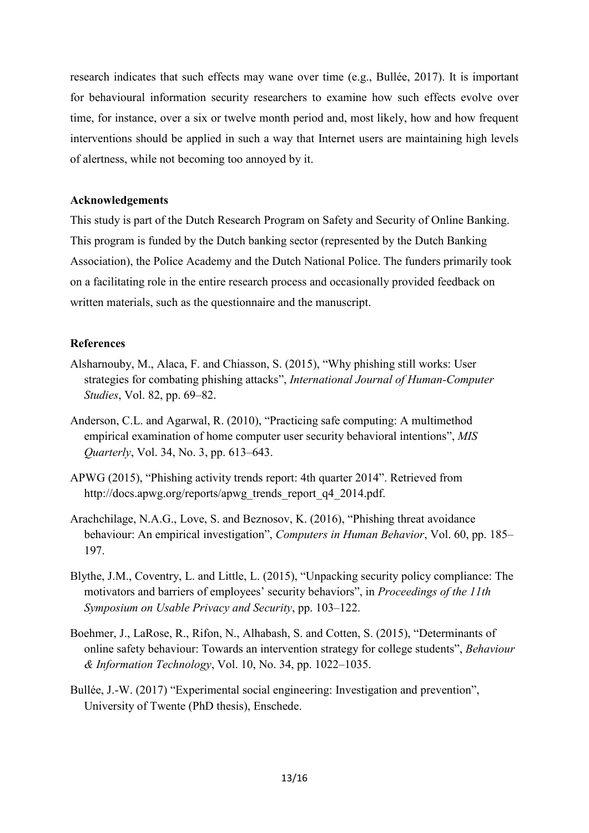research indicates that such effects may wane over time (e.g., Bullée, 2017). It is important for behavioural information security researchers to examine how such effects evolve over time, for instance, over a six or twelve month period and, most likely, how and how frequent interventions should be applied in such a way that Internet users are maintaining high levels of alertness, while not becoming too annoyed by it.

# **Acknowledgements**

This study is part of the Dutch Research Program on Safety and Security of Online Banking. This program is funded by the Dutch banking sector (represented by the Dutch Banking Association), the Police Academy and the Dutch National Police. The funders primarily took on a facilitating role in the entire research process and occasionally provided feedback on written materials, such as the questionnaire and the manuscript.

# **References**

- Alsharnouby, M., Alaca, F. and Chiasson, S. (2015), "Why phishing still works: User strategies for combating phishing attacks", *International Journal of Human-Computer Studies*, Vol. 82, pp. 69–82.
- Anderson, C.L. and Agarwal, R. (2010), "Practicing safe computing: A multimethod empirical examination of home computer user security behavioral intentions", *MIS Quarterly*, Vol. 34, No. 3, pp. 613–643.
- APWG (2015), "Phishing activity trends report: 4th quarter 2014". Retrieved from http://docs.apwg.org/reports/apwg\_trends\_report\_q4\_2014.pdf.
- Arachchilage, N.A.G., Love, S. and Beznosov, K. (2016), "Phishing threat avoidance behaviour: An empirical investigation", *Computers in Human Behavior*, Vol. 60, pp. 185– 197.
- Blythe, J.M., Coventry, L. and Little, L. (2015), "Unpacking security policy compliance: The motivators and barriers of employees' security behaviors", in *Proceedings of the 11th Symposium on Usable Privacy and Security*, pp. 103–122.
- Boehmer, J., LaRose, R., Rifon, N., Alhabash, S. and Cotten, S. (2015), "Determinants of online safety behaviour: Towards an intervention strategy for college students", *Behaviour & Information Technology*, Vol. 10, No. 34, pp. 1022–1035.
- Bullée, J.-W. (2017) "Experimental social engineering: Investigation and prevention", University of Twente (PhD thesis), Enschede.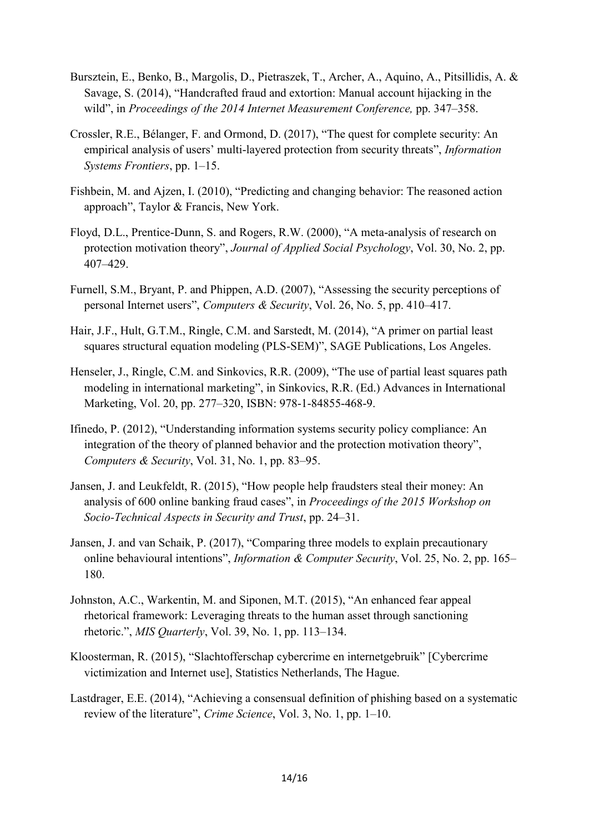- Bursztein, E., Benko, B., Margolis, D., Pietraszek, T., Archer, A., Aquino, A., Pitsillidis, A. & Savage, S. (2014), "Handcrafted fraud and extortion: Manual account hijacking in the wild", in *Proceedings of the 2014 Internet Measurement Conference,* pp. 347–358.
- Crossler, R.E., Bélanger, F. and Ormond, D. (2017), "The quest for complete security: An empirical analysis of users' multi-layered protection from security threats", *Information Systems Frontiers*, pp. 1–15.
- Fishbein, M. and Ajzen, I. (2010), "Predicting and changing behavior: The reasoned action approach", Taylor & Francis, New York.
- Floyd, D.L., Prentice-Dunn, S. and Rogers, R.W. (2000), "A meta-analysis of research on protection motivation theory", *Journal of Applied Social Psychology*, Vol. 30, No. 2, pp. 407–429.
- Furnell, S.M., Bryant, P. and Phippen, A.D. (2007), "Assessing the security perceptions of personal Internet users", *Computers & Security*, Vol. 26, No. 5, pp. 410–417.
- Hair, J.F., Hult, G.T.M., Ringle, C.M. and Sarstedt, M. (2014), "A primer on partial least squares structural equation modeling (PLS-SEM)", SAGE Publications, Los Angeles.
- Henseler, J., Ringle, C.M. and Sinkovics, R.R. (2009), "The use of partial least squares path modeling in international marketing", in Sinkovics, R.R. (Ed.) Advances in International Marketing, Vol. 20, pp. 277–320, ISBN: 978-1-84855-468-9.
- Ifinedo, P. (2012), "Understanding information systems security policy compliance: An integration of the theory of planned behavior and the protection motivation theory", *Computers & Security*, Vol. 31, No. 1, pp. 83–95.
- Jansen, J. and Leukfeldt, R. (2015), "How people help fraudsters steal their money: An analysis of 600 online banking fraud cases", in *Proceedings of the 2015 Workshop on Socio-Technical Aspects in Security and Trust*, pp. 24–31.
- Jansen, J. and van Schaik, P. (2017), "Comparing three models to explain precautionary online behavioural intentions", *Information & Computer Security*, Vol. 25, No. 2, pp. 165– 180.
- Johnston, A.C., Warkentin, M. and Siponen, M.T. (2015), "An enhanced fear appeal rhetorical framework: Leveraging threats to the human asset through sanctioning rhetoric.", *MIS Quarterly*, Vol. 39, No. 1, pp. 113–134.
- Kloosterman, R. (2015), "Slachtofferschap cybercrime en internetgebruik" [Cybercrime victimization and Internet use], Statistics Netherlands, The Hague.
- Lastdrager, E.E. (2014), "Achieving a consensual definition of phishing based on a systematic review of the literature", *Crime Science*, Vol. 3, No. 1, pp. 1–10.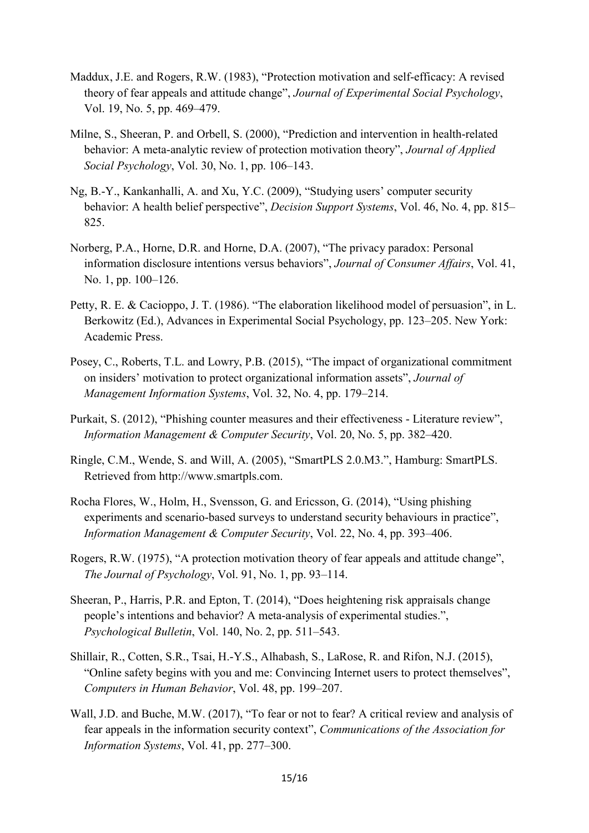- Maddux, J.E. and Rogers, R.W. (1983), "Protection motivation and self-efficacy: A revised theory of fear appeals and attitude change", *Journal of Experimental Social Psychology*, Vol. 19, No. 5, pp. 469–479.
- Milne, S., Sheeran, P. and Orbell, S. (2000), "Prediction and intervention in health-related behavior: A meta-analytic review of protection motivation theory", *Journal of Applied Social Psychology*, Vol. 30, No. 1, pp. 106–143.
- Ng, B.-Y., Kankanhalli, A. and Xu, Y.C. (2009), "Studying users' computer security behavior: A health belief perspective", *Decision Support Systems*, Vol. 46, No. 4, pp. 815– 825.
- Norberg, P.A., Horne, D.R. and Horne, D.A. (2007), "The privacy paradox: Personal information disclosure intentions versus behaviors", *Journal of Consumer Affairs*, Vol. 41, No. 1, pp. 100–126.
- Petty, R. E. & Cacioppo, J. T. (1986). "The elaboration likelihood model of persuasion", in L. Berkowitz (Ed.), Advances in Experimental Social Psychology, pp. 123–205. New York: Academic Press.
- Posey, C., Roberts, T.L. and Lowry, P.B. (2015), "The impact of organizational commitment on insiders' motivation to protect organizational information assets", *Journal of Management Information Systems*, Vol. 32, No. 4, pp. 179–214.
- Purkait, S. (2012), "Phishing counter measures and their effectiveness Literature review", *Information Management & Computer Security*, Vol. 20, No. 5, pp. 382–420.
- Ringle, C.M., Wende, S. and Will, A. (2005), "SmartPLS 2.0.M3.", Hamburg: SmartPLS. Retrieved from http://www.smartpls.com.
- Rocha Flores, W., Holm, H., Svensson, G. and Ericsson, G. (2014), "Using phishing experiments and scenario-based surveys to understand security behaviours in practice", *Information Management & Computer Security*, Vol. 22, No. 4, pp. 393–406.
- Rogers, R.W. (1975), "A protection motivation theory of fear appeals and attitude change", *The Journal of Psychology*, Vol. 91, No. 1, pp. 93–114.
- Sheeran, P., Harris, P.R. and Epton, T. (2014), "Does heightening risk appraisals change people's intentions and behavior? A meta-analysis of experimental studies.", *Psychological Bulletin*, Vol. 140, No. 2, pp. 511–543.
- Shillair, R., Cotten, S.R., Tsai, H.-Y.S., Alhabash, S., LaRose, R. and Rifon, N.J. (2015), "Online safety begins with you and me: Convincing Internet users to protect themselves", *Computers in Human Behavior*, Vol. 48, pp. 199–207.
- Wall, J.D. and Buche, M.W. (2017), "To fear or not to fear? A critical review and analysis of fear appeals in the information security context", *Communications of the Association for Information Systems*, Vol. 41, pp. 277–300.